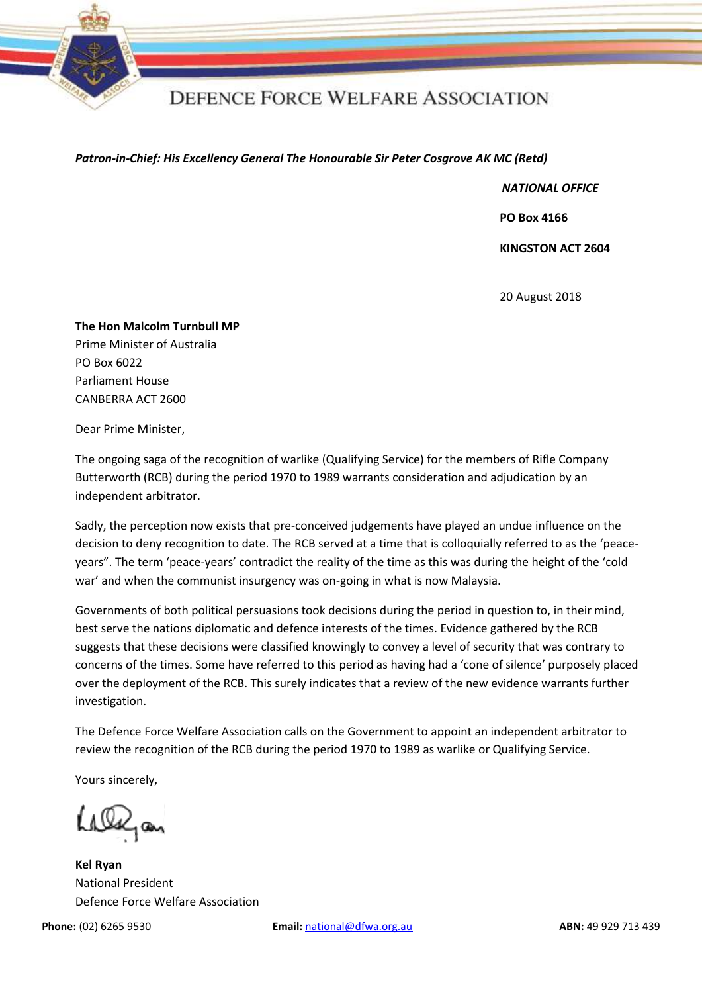

## **DEFENCE FORCE WELFARE ASSOCIATION**

## *Patron-in-Chief: His Excellency General The Honourable Sir Peter Cosgrove AK MC (Retd)*

*NATIONAL OFFICE*

 **PO Box 4166** 

 **KINGSTON ACT 2604**

20 August 2018

**The Hon Malcolm Turnbull MP** Prime Minister of Australia PO Box 6022 Parliament House CANBERRA ACT 2600

Dear Prime Minister,

The ongoing saga of the recognition of warlike (Qualifying Service) for the members of Rifle Company Butterworth (RCB) during the period 1970 to 1989 warrants consideration and adjudication by an independent arbitrator.

Sadly, the perception now exists that pre-conceived judgements have played an undue influence on the decision to deny recognition to date. The RCB served at a time that is colloquially referred to as the 'peaceyears". The term 'peace-years' contradict the reality of the time as this was during the height of the 'cold war' and when the communist insurgency was on-going in what is now Malaysia.

Governments of both political persuasions took decisions during the period in question to, in their mind, best serve the nations diplomatic and defence interests of the times. Evidence gathered by the RCB suggests that these decisions were classified knowingly to convey a level of security that was contrary to concerns of the times. Some have referred to this period as having had a 'cone of silence' purposely placed over the deployment of the RCB. This surely indicates that a review of the new evidence warrants further investigation.

The Defence Force Welfare Association calls on the Government to appoint an independent arbitrator to review the recognition of the RCB during the period 1970 to 1989 as warlike or Qualifying Service.

Yours sincerely,

Alajan

**Kel Ryan** National President Defence Force Welfare Association